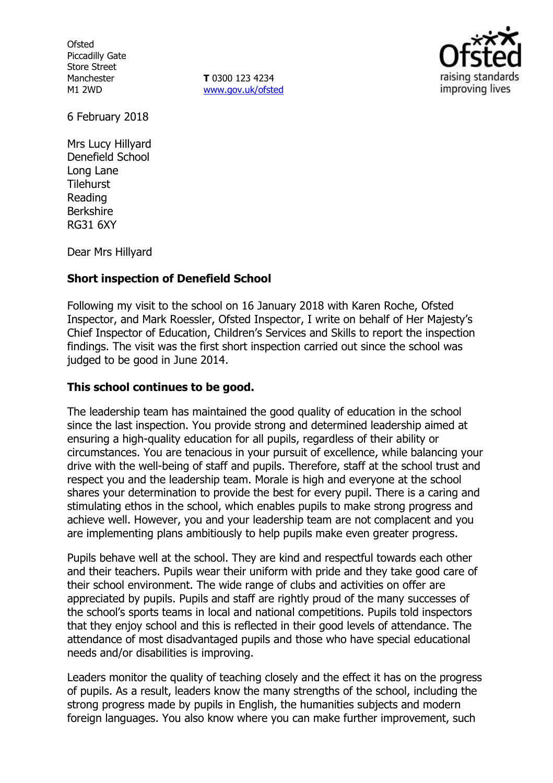**Ofsted** Piccadilly Gate Store Street Manchester M1 2WD

**T** 0300 123 4234 [www.gov.uk/ofsted](http://www.gov.uk/ofsted)



6 February 2018

Mrs Lucy Hillyard Denefield School Long Lane **Tilehurst** Reading Berkshire RG31 6XY

Dear Mrs Hillyard

## **Short inspection of Denefield School**

Following my visit to the school on 16 January 2018 with Karen Roche, Ofsted Inspector, and Mark Roessler, Ofsted Inspector, I write on behalf of Her Majesty's Chief Inspector of Education, Children's Services and Skills to report the inspection findings. The visit was the first short inspection carried out since the school was judged to be good in June 2014.

#### **This school continues to be good.**

The leadership team has maintained the good quality of education in the school since the last inspection. You provide strong and determined leadership aimed at ensuring a high-quality education for all pupils, regardless of their ability or circumstances. You are tenacious in your pursuit of excellence, while balancing your drive with the well-being of staff and pupils. Therefore, staff at the school trust and respect you and the leadership team. Morale is high and everyone at the school shares your determination to provide the best for every pupil. There is a caring and stimulating ethos in the school, which enables pupils to make strong progress and achieve well. However, you and your leadership team are not complacent and you are implementing plans ambitiously to help pupils make even greater progress.

Pupils behave well at the school. They are kind and respectful towards each other and their teachers. Pupils wear their uniform with pride and they take good care of their school environment. The wide range of clubs and activities on offer are appreciated by pupils. Pupils and staff are rightly proud of the many successes of the school's sports teams in local and national competitions. Pupils told inspectors that they enjoy school and this is reflected in their good levels of attendance. The attendance of most disadvantaged pupils and those who have special educational needs and/or disabilities is improving.

Leaders monitor the quality of teaching closely and the effect it has on the progress of pupils. As a result, leaders know the many strengths of the school, including the strong progress made by pupils in English, the humanities subjects and modern foreign languages. You also know where you can make further improvement, such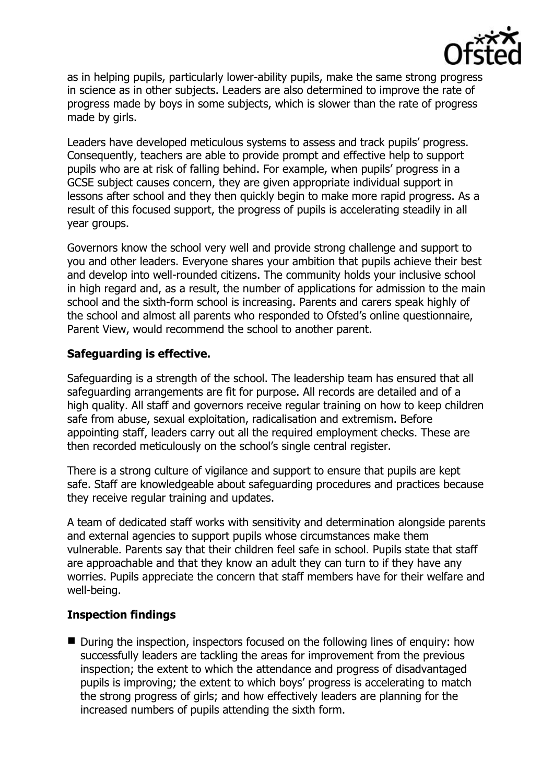

as in helping pupils, particularly lower-ability pupils, make the same strong progress in science as in other subjects. Leaders are also determined to improve the rate of progress made by boys in some subjects, which is slower than the rate of progress made by girls.

Leaders have developed meticulous systems to assess and track pupils' progress. Consequently, teachers are able to provide prompt and effective help to support pupils who are at risk of falling behind. For example, when pupils' progress in a GCSE subject causes concern, they are given appropriate individual support in lessons after school and they then quickly begin to make more rapid progress. As a result of this focused support, the progress of pupils is accelerating steadily in all year groups.

Governors know the school very well and provide strong challenge and support to you and other leaders. Everyone shares your ambition that pupils achieve their best and develop into well-rounded citizens. The community holds your inclusive school in high regard and, as a result, the number of applications for admission to the main school and the sixth-form school is increasing. Parents and carers speak highly of the school and almost all parents who responded to Ofsted's online questionnaire, Parent View, would recommend the school to another parent.

# **Safeguarding is effective.**

Safeguarding is a strength of the school. The leadership team has ensured that all safeguarding arrangements are fit for purpose. All records are detailed and of a high quality. All staff and governors receive regular training on how to keep children safe from abuse, sexual exploitation, radicalisation and extremism. Before appointing staff, leaders carry out all the required employment checks. These are then recorded meticulously on the school's single central register.

There is a strong culture of vigilance and support to ensure that pupils are kept safe. Staff are knowledgeable about safeguarding procedures and practices because they receive regular training and updates.

A team of dedicated staff works with sensitivity and determination alongside parents and external agencies to support pupils whose circumstances make them vulnerable. Parents say that their children feel safe in school. Pupils state that staff are approachable and that they know an adult they can turn to if they have any worries. Pupils appreciate the concern that staff members have for their welfare and well-being.

## **Inspection findings**

■ During the inspection, inspectors focused on the following lines of enquiry: how successfully leaders are tackling the areas for improvement from the previous inspection; the extent to which the attendance and progress of disadvantaged pupils is improving; the extent to which boys' progress is accelerating to match the strong progress of girls; and how effectively leaders are planning for the increased numbers of pupils attending the sixth form.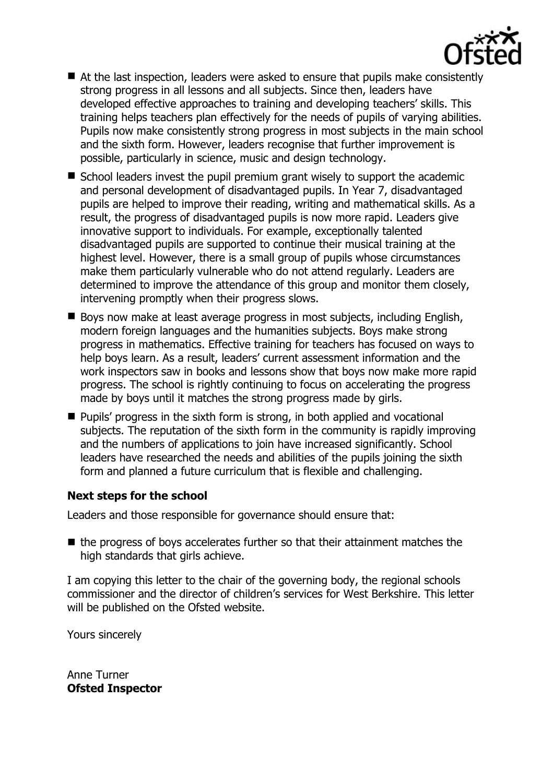

- At the last inspection, leaders were asked to ensure that pupils make consistently strong progress in all lessons and all subjects. Since then, leaders have developed effective approaches to training and developing teachers' skills. This training helps teachers plan effectively for the needs of pupils of varying abilities. Pupils now make consistently strong progress in most subjects in the main school and the sixth form. However, leaders recognise that further improvement is possible, particularly in science, music and design technology.
- $\blacksquare$  School leaders invest the pupil premium grant wisely to support the academic and personal development of disadvantaged pupils. In Year 7, disadvantaged pupils are helped to improve their reading, writing and mathematical skills. As a result, the progress of disadvantaged pupils is now more rapid. Leaders give innovative support to individuals. For example, exceptionally talented disadvantaged pupils are supported to continue their musical training at the highest level. However, there is a small group of pupils whose circumstances make them particularly vulnerable who do not attend regularly. Leaders are determined to improve the attendance of this group and monitor them closely, intervening promptly when their progress slows.
- Boys now make at least average progress in most subjects, including English, modern foreign languages and the humanities subjects. Boys make strong progress in mathematics. Effective training for teachers has focused on ways to help boys learn. As a result, leaders' current assessment information and the work inspectors saw in books and lessons show that boys now make more rapid progress. The school is rightly continuing to focus on accelerating the progress made by boys until it matches the strong progress made by girls.
- **Pupils' progress in the sixth form is strong, in both applied and vocational** subjects. The reputation of the sixth form in the community is rapidly improving and the numbers of applications to join have increased significantly. School leaders have researched the needs and abilities of the pupils joining the sixth form and planned a future curriculum that is flexible and challenging.

## **Next steps for the school**

Leaders and those responsible for governance should ensure that:

 $\blacksquare$  the progress of boys accelerates further so that their attainment matches the high standards that girls achieve.

I am copying this letter to the chair of the governing body, the regional schools commissioner and the director of children's services for West Berkshire. This letter will be published on the Ofsted website.

Yours sincerely

Anne Turner **Ofsted Inspector**